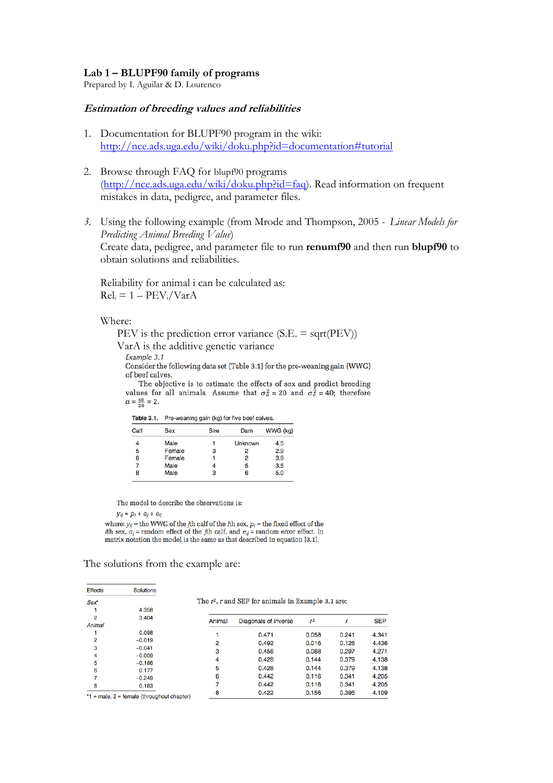## **Lab 1 – BLUPF90 family of programs**

Prepared by I. Aguilar & D. Lourenco

## **Estimation of breeding values and reliabilities**

- 1. Documentation for BLUPF90 program in the wiki: <http://nce.ads.uga.edu/wiki/doku.php?id=documentation#tutorial>
- 2. Browse through FAQ for blupf90 programs (http://nce.ads.uga.edu/wiki/doku.php?id=faq). Read information on frequent mistakes in data, pedigree, and parameter files.
- *3.* Using the following example (from Mrode and Thompson, 2005 *Linear Models for Predicting Animal Breeding Value*) Create data, pedigree, and parameter file to run **renumf90** and then run **blupf90** to obtain solutions and reliabilities.

Reliability for animal i can be calculated as:  $Rel_i = 1 - PEV_i / VarA$ 

#### Where:

PEV is the prediction error variance (S.E. = sqrt(PEV))

VarA is the additive genetic variance

Example 3.1

Consider the following data set (Table 3.1) for the pre-weaning gain (WWG) of beef calves.

The objective is to estimate the effects of sex and predict breeding values for all animals. Assume that  $\sigma_a^2 = 20$  and  $\sigma_e^2 = 40$ ; therefore  $\alpha = \frac{40}{20} = 2.$ 

| Calf | <b>Sex</b> | <b>Sire</b> | Dam            | WWG (kg) |  |
|------|------------|-------------|----------------|----------|--|
|      | Male       |             | <b>Unknown</b> | 4.5      |  |
| 5    | Female     | 3           |                | 2.9      |  |
| 6    | Female     |             | 2              | 3.9      |  |
|      | Male       | 4           | 5              | 3.5      |  |
| 8    | Male       | з           |                | 5.0      |  |

The model to describe the observations is:

 $y_{ij} = p_i + a_j + e_{ij}$ 

where:  $y_{ij}$  = the WWG of the jth calf of the  $i\text{th}$  sex,  $p_i$  = the fixed effect of the *i*th sex,  $a_j$  = random effect of the *j*th calf, and  $e_{ij}$  = random error effect. In matrix notation the model is the same as that described in equation [3.1].

The solutions from the example are:

| <b>Effects</b>                                | <b>Solutions</b> |        |                                                       |       |       |            |
|-----------------------------------------------|------------------|--------|-------------------------------------------------------|-------|-------|------------|
| <b>Sex*</b>                                   |                  |        | The $r^2$ , r and SEP for animals in Example 3.1 are: |       |       |            |
|                                               | 4.358            |        |                                                       |       |       |            |
| 2                                             | 3.404            | Animal | Diagonals of inverse                                  | $r^2$ |       | <b>SEP</b> |
| Animal                                        |                  |        |                                                       |       |       |            |
|                                               | 0.098            |        | 0.471                                                 | 0.058 | 0.241 | 4.341      |
| 2                                             | $-0.019$         | 2      | 0.492                                                 | 0.016 | 0.126 | 4.436      |
| 3                                             | $-0.041$         | 3      | 0.456                                                 | 0.088 | 0.297 | 4.271      |
| 4                                             | $-0.009$         |        |                                                       |       |       |            |
| 5                                             | $-0.186$         | 4      | 0.428                                                 | 0.144 | 0.379 | 4.138      |
| 6                                             | 0.177            | 5      | 0.428                                                 | 0.144 | 0.379 | 4.138      |
| 7                                             | $-0.249$         | 6      | 0.442                                                 | 0.116 | 0.341 | 4.205      |
| 8                                             | 0.183            |        | 0.442                                                 | 0.116 | 0.341 | 4.205      |
| $*1$ – male $9$ – female (throughout chanter) |                  | 8      | 0.422                                                 | 0.156 | 0.395 | 4.109      |

 $=$  male,  $2 =$  temale (throughout chapter)